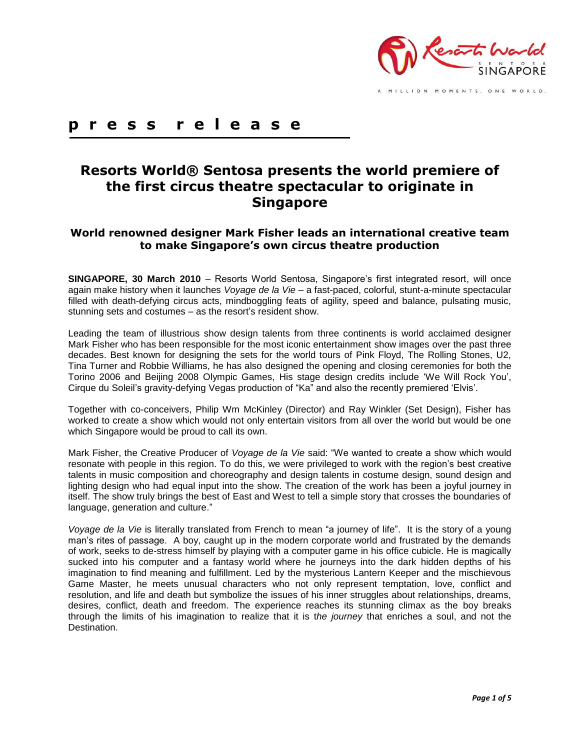

**p r e s s r e l e a s e**

# **Resorts World® Sentosa presents the world premiere of the first circus theatre spectacular to originate in Singapore**

## **World renowned designer Mark Fisher leads an international creative team to make Singapore's own circus theatre production**

**SINGAPORE, 30 March 2010** – Resorts World Sentosa, Singapore's first integrated resort, will once again make history when it launches *Voyage de la Vie –* a fast-paced, colorful, stunt-a-minute spectacular filled with death-defying circus acts, mindboggling feats of agility, speed and balance, pulsating music, stunning sets and costumes – as the resort's resident show.

Leading the team of illustrious show design talents from three continents is world acclaimed designer Mark Fisher who has been responsible for the most iconic entertainment show images over the past three decades. Best known for designing the sets for the world tours of Pink Floyd, The Rolling Stones, U2, Tina Turner and Robbie Williams, he has also designed the opening and closing ceremonies for both the Torino 2006 and Beijing 2008 Olympic Games, His stage design credits include "We Will Rock You", Cirque du Soleil"s gravity-defying Vegas production of "Ka" and also the recently premiered "Elvis".

Together with co-conceivers, Philip Wm McKinley (Director) and Ray Winkler (Set Design), Fisher has worked to create a show which would not only entertain visitors from all over the world but would be one which Singapore would be proud to call its own.

Mark Fisher, the Creative Producer of *Voyage de la Vie* said: "We wanted to create a show which would resonate with people in this region. To do this, we were privileged to work with the region"s best creative talents in music composition and choreography and design talents in costume design, sound design and lighting design who had equal input into the show. The creation of the work has been a joyful journey in itself. The show truly brings the best of East and West to tell a simple story that crosses the boundaries of language, generation and culture."

*Voyage de la Vie* is literally translated from French to mean "a journey of life". It is the story of a young man"s rites of passage. A boy, caught up in the modern corporate world and frustrated by the demands of work, seeks to de-stress himself by playing with a computer game in his office cubicle. He is magically sucked into his computer and a fantasy world where he journeys into the dark hidden depths of his imagination to find meaning and fulfillment. Led by the mysterious Lantern Keeper and the mischievous Game Master, he meets unusual characters who not only represent temptation, love, conflict and resolution, and life and death but symbolize the issues of his inner struggles about relationships, dreams, desires, conflict, death and freedom. The experience reaches its stunning climax as the boy breaks through the limits of his imagination to realize that it is t*he journey* that enriches a soul, and not the Destination.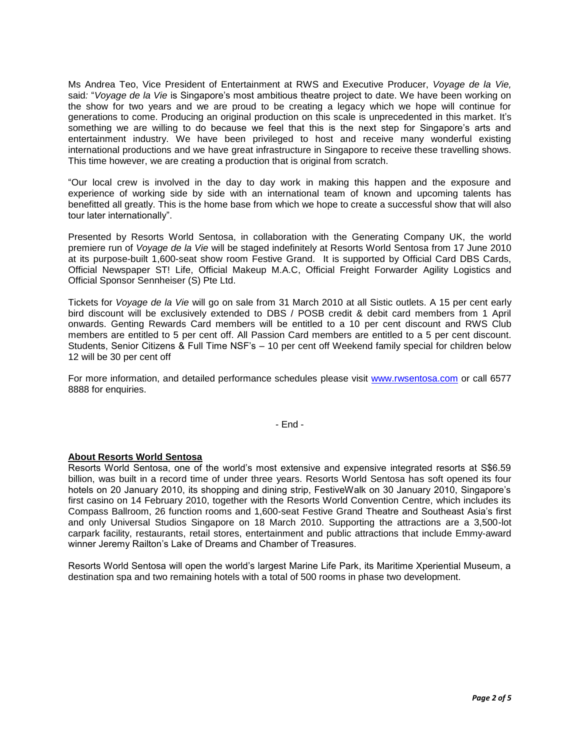Ms Andrea Teo, Vice President of Entertainment at RWS and Executive Producer, *Voyage de la Vie,*  said*:* "*Voyage de la Vie* is Singapore"s most ambitious theatre project to date. We have been working on the show for two years and we are proud to be creating a legacy which we hope will continue for generations to come. Producing an original production on this scale is unprecedented in this market. It"s something we are willing to do because we feel that this is the next step for Singapore's arts and entertainment industry. We have been privileged to host and receive many wonderful existing international productions and we have great infrastructure in Singapore to receive these travelling shows. This time however, we are creating a production that is original from scratch.

"Our local crew is involved in the day to day work in making this happen and the exposure and experience of working side by side with an international team of known and upcoming talents has benefitted all greatly. This is the home base from which we hope to create a successful show that will also tour later internationally".

Presented by Resorts World Sentosa, in collaboration with the Generating Company UK, the world premiere run of *Voyage de la Vie* will be staged indefinitely at Resorts World Sentosa from 17 June 2010 at its purpose-built 1,600-seat show room Festive Grand. It is supported by Official Card DBS Cards, Official Newspaper ST! Life, Official Makeup M.A.C, Official Freight Forwarder Agility Logistics and Official Sponsor Sennheiser (S) Pte Ltd.

Tickets for *Voyage de la Vie* will go on sale from 31 March 2010 at all Sistic outlets. A 15 per cent early bird discount will be exclusively extended to DBS / POSB credit & debit card members from 1 April onwards. Genting Rewards Card members will be entitled to a 10 per cent discount and RWS Club members are entitled to 5 per cent off. All Passion Card members are entitled to a 5 per cent discount. Students, Senior Citizens & Full Time NSF's - 10 per cent off Weekend family special for children below 12 will be 30 per cent off

For more information, and detailed performance schedules please visit [www.rwsentosa.com](http://www.rwsentosa.com/) or call 6577 8888 for enquiries.

- End -

### **About Resorts World Sentosa**

Resorts World Sentosa, one of the world"s most extensive and expensive integrated resorts at S\$6.59 billion, was built in a record time of under three years. Resorts World Sentosa has soft opened its four hotels on 20 January 2010, its shopping and dining strip, FestiveWalk on 30 January 2010, Singapore's first casino on 14 February 2010, together with the Resorts World Convention Centre, which includes its Compass Ballroom, 26 function rooms and 1,600-seat Festive Grand Theatre and Southeast Asia"s first and only Universal Studios Singapore on 18 March 2010. Supporting the attractions are a 3,500-lot carpark facility, restaurants, retail stores, entertainment and public attractions that include Emmy-award winner Jeremy Railton"s Lake of Dreams and Chamber of Treasures.

Resorts World Sentosa will open the world"s largest Marine Life Park, its Maritime Xperiential Museum, a destination spa and two remaining hotels with a total of 500 rooms in phase two development.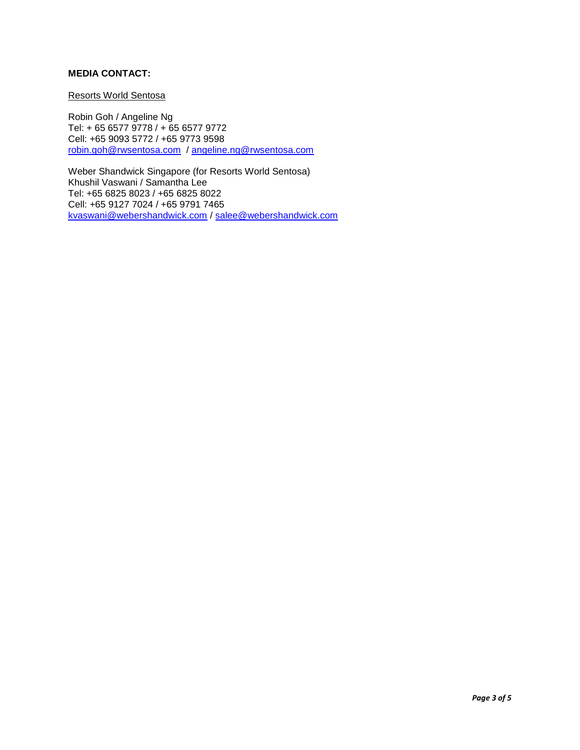## **MEDIA CONTACT:**

#### Resorts World Sentosa

Robin Goh / Angeline Ng Tel: + 65 6577 9778 / + 65 6577 9772 Cell: +65 9093 5772 / +65 9773 9598 [robin.goh@rwsentosa.com](mailto:robin.goh@rwsentosa.com) / [angeline.ng@rwsentosa.com](mailto:angeline.ng@rwsentosa.com)

Weber Shandwick Singapore (for Resorts World Sentosa) Khushil Vaswani / Samantha Lee Tel: +65 6825 8023 / +65 6825 8022 Cell: +65 9127 7024 / +65 9791 7465 [kvaswani@webershandwick.com](mailto:kvaswani@webershandwick.com) / [salee@webershandwick.com](mailto:salee@webershandwick.com)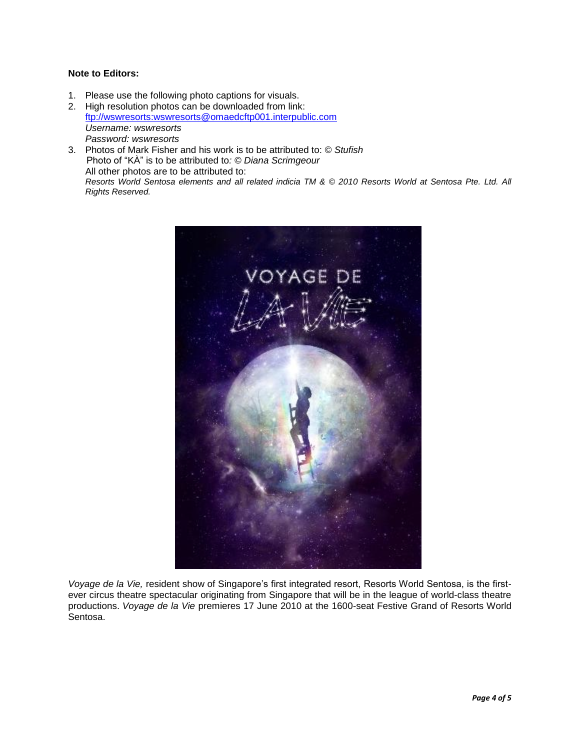## **Note to Editors:**

- 1. Please use the following photo captions for visuals.
- 2. High resolution photos can be downloaded from link: [ftp://wswresorts:wswresorts@omaedcftp001.interpublic.com](ftp://wswresorts:wswresorts@omaedcftp001.interpublic.com/) *Username: wswresorts Password: wswresorts*
- 3. Photos of Mark Fisher and his work is to be attributed to: *© Stufish* Photo of "KÀ" is to be attributed to*: © Diana Scrimgeour* All other photos are to be attributed to: *Resorts World Sentosa elements and all related indicia TM & © 2010 Resorts World at Sentosa Pte. Ltd. All Rights Reserved.*



*Voyage de la Vie,* resident show of Singapore"s first integrated resort, Resorts World Sentosa, is the firstever circus theatre spectacular originating from Singapore that will be in the league of world-class theatre productions. *Voyage de la Vie* premieres 17 June 2010 at the 1600-seat Festive Grand of Resorts World Sentosa.